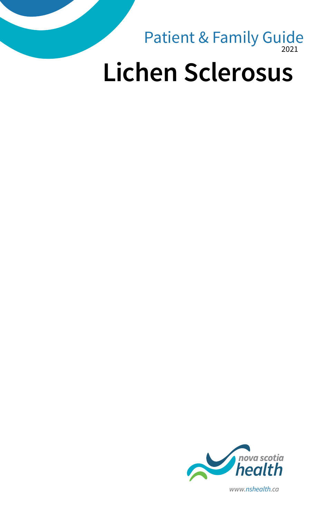

# **Lichen Sclerosus**



*www.nshealth.ca*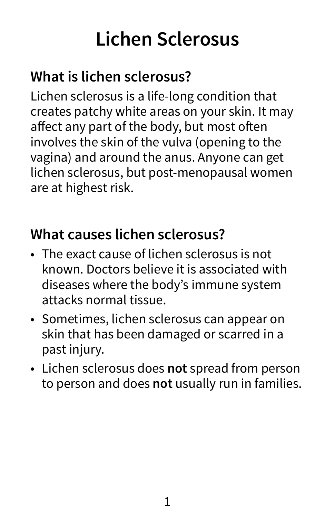# **Lichen Sclerosus**

# **What is lichen sclerosus?**

Lichen sclerosus is a life-long condition that creates patchy white areas on your skin. It may affect any part of the body, but most often involves the skin of the vulva (opening to the vagina) and around the anus. Anyone can get lichen sclerosus, but post-menopausal women are at highest risk.

#### **What causes lichen sclerosus?**

- The exact cause of lichen sclerosus is not known. Doctors believe it is associated with diseases where the body's immune system attacks normal tissue.
- Sometimes, lichen sclerosus can appear on skin that has been damaged or scarred in a past injury.
- Lichen sclerosus does **not** spread from person to person and does **not** usually run in families.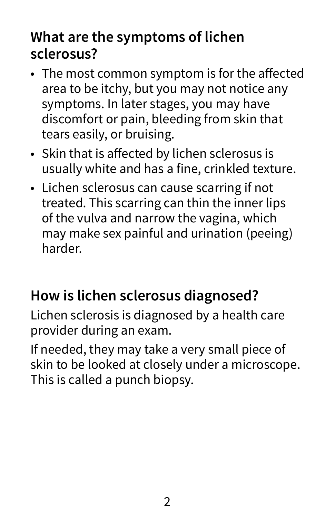### **What are the symptoms of lichen sclerosus?**

- The most common symptom is for the affected area to be itchy, but you may not notice any symptoms. In later stages, you may have discomfort or pain, bleeding from skin that tears easily, or bruising.
- Skin that is affected by lichen sclerosus is usually white and has a fine, crinkled texture.
- Lichen sclerosus can cause scarring if not treated. This scarring can thin the inner lips of the vulva and narrow the vagina, which may make sex painful and urination (peeing) harder.

#### **How is lichen sclerosus diagnosed?**

Lichen sclerosis is diagnosed by a health care provider during an exam.

If needed, they may take a very small piece of skin to be looked at closely under a microscope. This is called a punch biopsy.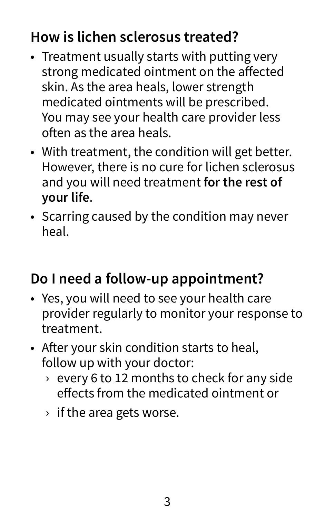# **How is lichen sclerosus treated?**

- Treatment usually starts with putting very strong medicated ointment on the affected skin. As the area heals, lower strength medicated ointments will be prescribed. You may see your health care provider less often as the area heals.
- With treatment, the condition will get better. However, there is no cure for lichen sclerosus and you will need treatment **for the rest of your life**.
- Scarring caused by the condition may never heal.

# **Do I need a follow-up appointment?**

- Yes, you will need to see your health care provider regularly to monitor your response to treatment.
- After your skin condition starts to heal, follow up with your doctor:
	- › every 6 to 12 months to check for any side effects from the medicated ointment or
	- $\rightarrow$  if the area gets worse.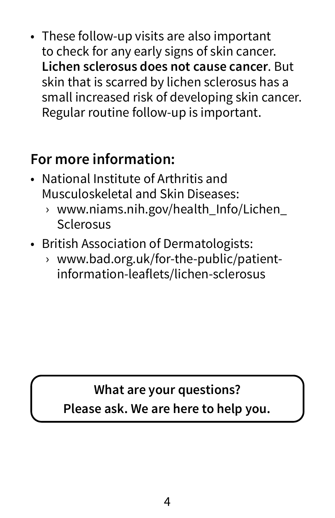• These follow-up visits are also important to check for any early signs of skin cancer. **Lichen sclerosus does not cause cancer**. But skin that is scarred by lichen sclerosus has a small increased risk of developing skin cancer. Regular routine follow-up is important.

### **For more information:**

- National Institute of Arthritis and Musculoskeletal and Skin Diseases:
	- › [www.niams.nih.gov/health\\_Info/Lichen\\_](http://www.niams.nih.gov/health_Info/Lichen_Sclerosus) [Sclerosus](http://www.niams.nih.gov/health_Info/Lichen_Sclerosus)
- British Association of Dermatologists:
	- › [www.bad.org.uk/for-the-public/patient](http://www.bad.org.uk/for-the-public/patient-information-leaflets/lichen-sclerosus)[information-leaflets/lichen-sclerosus](http://www.bad.org.uk/for-the-public/patient-information-leaflets/lichen-sclerosus)

## **What are your questions? Please ask. We are here to help you.**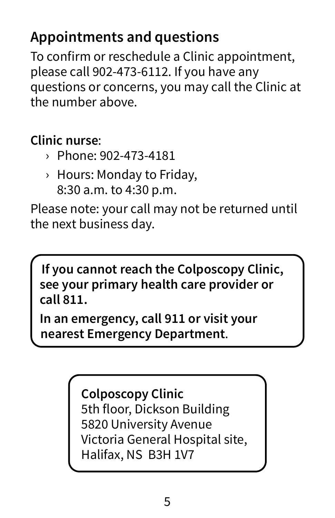# **Appointments and questions**

To confirm or reschedule a Clinic appointment, please call 902-473-6112. If you have any questions or concerns, you may call the Clinic at the number above.

#### **Clinic nurse**:

- › Phone: 902-473-4181
- › Hours: Monday to Friday, 8:30 a.m. to 4:30 p.m.

Please note: your call may not be returned until the next business day.

**If you cannot reach the Colposcopy Clinic, see your primary health care provider or call 811.**

**In an emergency, call 911 or visit your nearest Emergency Department**.

> **Colposcopy Clinic** 5th floor, Dickson Building 5820 University Avenue Victoria General Hospital site, Halifax, NS B3H 1V7